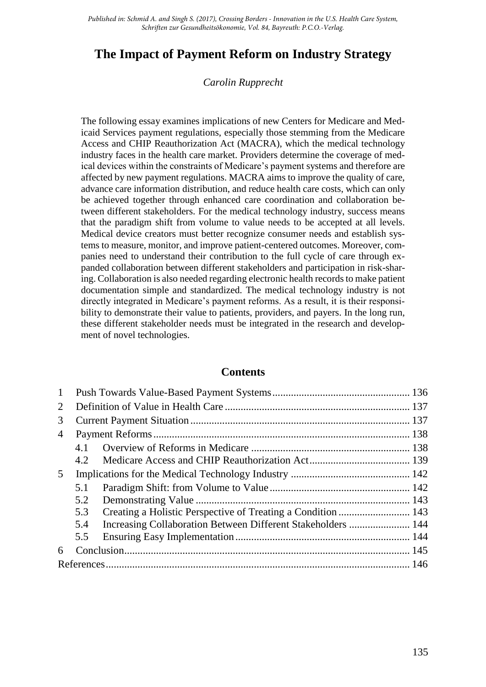*Published in: Schmid A. and Singh S. (2017), Crossing Borders - Innovation in the U.S. Health Care System, Schriften zur Gesundheitsökonomie, Vol. 84, Bayreuth: P.C.O.-Verlag.*

# **The Impact of Payment Reform on Industry Strategy**

#### *Carolin Rupprecht*

The following essay examines implications of new Centers for Medicare and Medicaid Services payment regulations, especially those stemming from the Medicare Access and CHIP Reauthorization Act (MACRA), which the medical technology industry faces in the health care market. Providers determine the coverage of medical devices within the constraints of Medicare's payment systems and therefore are affected by new payment regulations. MACRA aims to improve the quality of care, advance care information distribution, and reduce health care costs, which can only be achieved together through enhanced care coordination and collaboration between different stakeholders. For the medical technology industry, success means that the paradigm shift from volume to value needs to be accepted at all levels. Medical device creators must better recognize consumer needs and establish systems to measure, monitor, and improve patient-centered outcomes. Moreover, companies need to understand their contribution to the full cycle of care through expanded collaboration between different stakeholders and participation in risk-sharing. Collaboration is also needed regarding electronic health records to make patient documentation simple and standardized. The medical technology industry is not directly integrated in Medicare's payment reforms. As a result, it is their responsibility to demonstrate their value to patients, providers, and payers. In the long run, these different stakeholder needs must be integrated in the research and development of novel technologies.

#### **Contents**

| $\mathbf{1}$   |     |                                                              |  |
|----------------|-----|--------------------------------------------------------------|--|
| $\overline{2}$ |     |                                                              |  |
| 3              |     |                                                              |  |
| 4              |     |                                                              |  |
|                | 4.1 |                                                              |  |
|                | 4.2 |                                                              |  |
| 5 <sup>5</sup> |     |                                                              |  |
|                | 5.1 |                                                              |  |
|                | 5.2 |                                                              |  |
|                | 5.3 |                                                              |  |
|                | 5.4 | Increasing Collaboration Between Different Stakeholders  144 |  |
|                | 5.5 |                                                              |  |
| 6              |     |                                                              |  |
|                |     |                                                              |  |
|                |     |                                                              |  |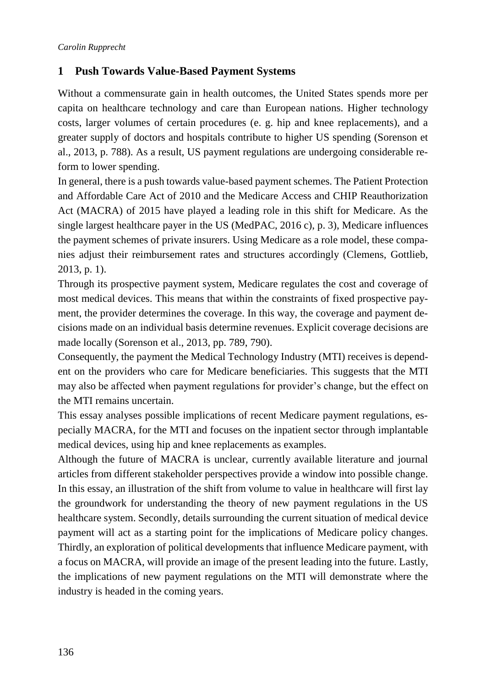### <span id="page-1-0"></span>**1 Push Towards Value-Based Payment Systems**

Without a commensurate gain in health outcomes, the United States spends more per capita on healthcare technology and care than European nations. Higher technology costs, larger volumes of certain procedures (e. g. hip and knee replacements), and a greater supply of doctors and hospitals contribute to higher US spending (Sorenson et al., 2013, p. 788). As a result, US payment regulations are undergoing considerable reform to lower spending.

In general, there is a push towards value-based payment schemes. The Patient Protection and Affordable Care Act of 2010 and the Medicare Access and CHIP Reauthorization Act (MACRA) of 2015 have played a leading role in this shift for Medicare. As the single largest healthcare payer in the US (MedPAC, 2016 c), p. 3), Medicare influences the payment schemes of private insurers. Using Medicare as a role model, these companies adjust their reimbursement rates and structures accordingly (Clemens, Gottlieb, 2013, p. 1).

Through its prospective payment system, Medicare regulates the cost and coverage of most medical devices. This means that within the constraints of fixed prospective payment, the provider determines the coverage. In this way, the coverage and payment decisions made on an individual basis determine revenues. Explicit coverage decisions are made locally (Sorenson et al., 2013, pp. 789, 790).

Consequently, the payment the Medical Technology Industry (MTI) receives is dependent on the providers who care for Medicare beneficiaries. This suggests that the MTI may also be affected when payment regulations for provider's change, but the effect on the MTI remains uncertain.

This essay analyses possible implications of recent Medicare payment regulations, especially MACRA, for the MTI and focuses on the inpatient sector through implantable medical devices, using hip and knee replacements as examples.

Although the future of MACRA is unclear, currently available literature and journal articles from different stakeholder perspectives provide a window into possible change. In this essay, an illustration of the shift from volume to value in healthcare will first lay the groundwork for understanding the theory of new payment regulations in the US healthcare system. Secondly, details surrounding the current situation of medical device payment will act as a starting point for the implications of Medicare policy changes. Thirdly, an exploration of political developments that influence Medicare payment, with a focus on MACRA, will provide an image of the present leading into the future. Lastly, the implications of new payment regulations on the MTI will demonstrate where the industry is headed in the coming years.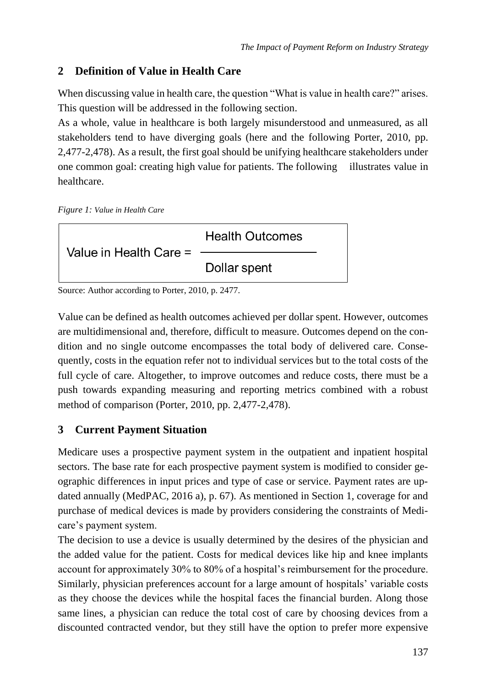# <span id="page-2-0"></span>**2 Definition of Value in Health Care**

When discussing value in health care, the question "What is value in health care?" arises. This question will be addressed in the following section.

As a whole, value in healthcare is both largely misunderstood and unmeasured, as all stakeholders tend to have diverging goals (here and the following Porter, 2010, pp. 2,477-2,478). As a result, the first goal should be unifying healthcare stakeholders under one common goal: creating high value for patients. The following illustrates value in healthcare.

*Figure 1: Value in Health Care*



Source: Author according to Porter, 2010, p. 2477.

Value can be defined as health outcomes achieved per dollar spent. However, outcomes are multidimensional and, therefore, difficult to measure. Outcomes depend on the condition and no single outcome encompasses the total body of delivered care. Consequently, costs in the equation refer not to individual services but to the total costs of the full cycle of care. Altogether, to improve outcomes and reduce costs, there must be a push towards expanding measuring and reporting metrics combined with a robust method of comparison (Porter, 2010, pp. 2,477-2,478).

# <span id="page-2-1"></span>**3 Current Payment Situation**

Medicare uses a prospective payment system in the outpatient and inpatient hospital sectors. The base rate for each prospective payment system is modified to consider geographic differences in input prices and type of case or service. Payment rates are updated annually (MedPAC, 2016 a), p. 67). As mentioned in Section 1, coverage for and purchase of medical devices is made by providers considering the constraints of Medicare's payment system.

The decision to use a device is usually determined by the desires of the physician and the added value for the patient. Costs for medical devices like hip and knee implants account for approximately 30% to 80% of a hospital's reimbursement for the procedure. Similarly, physician preferences account for a large amount of hospitals' variable costs as they choose the devices while the hospital faces the financial burden. Along those same lines, a physician can reduce the total cost of care by choosing devices from a discounted contracted vendor, but they still have the option to prefer more expensive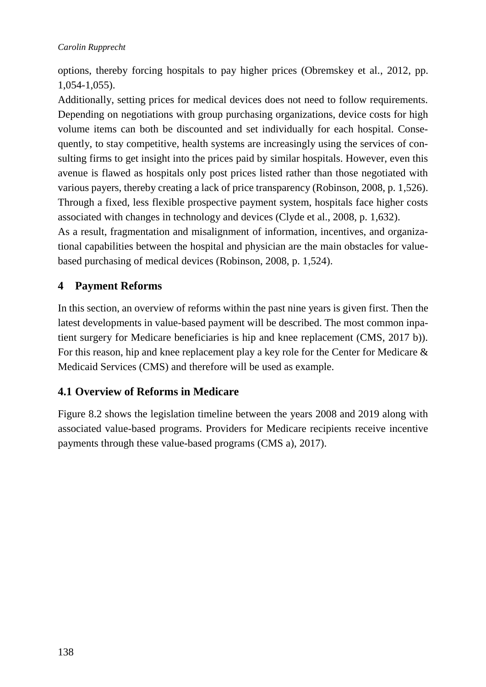options, thereby forcing hospitals to pay higher prices (Obremskey et al., 2012, pp. 1,054-1,055).

Additionally, setting prices for medical devices does not need to follow requirements. Depending on negotiations with group purchasing organizations, device costs for high volume items can both be discounted and set individually for each hospital. Consequently, to stay competitive, health systems are increasingly using the services of consulting firms to get insight into the prices paid by similar hospitals. However, even this avenue is flawed as hospitals only post prices listed rather than those negotiated with various payers, thereby creating a lack of price transparency (Robinson, 2008, p. 1,526). Through a fixed, less flexible prospective payment system, hospitals face higher costs associated with changes in technology and devices (Clyde et al., 2008, p. 1,632).

As a result, fragmentation and misalignment of information, incentives, and organizational capabilities between the hospital and physician are the main obstacles for valuebased purchasing of medical devices (Robinson, 2008, p. 1,524).

# <span id="page-3-0"></span>**4 Payment Reforms**

In this section, an overview of reforms within the past nine years is given first. Then the latest developments in value-based payment will be described. The most common inpatient surgery for Medicare beneficiaries is hip and knee replacement (CMS, 2017 b)). For this reason, hip and knee replacement play a key role for the Center for Medicare & Medicaid Services (CMS) and therefore will be used as example.

# <span id="page-3-1"></span>**4.1 Overview of Reforms in Medicare**

Figure 8.2 shows the legislation timeline between the years 2008 and 2019 along with associated value-based programs. Providers for Medicare recipients receive incentive payments through these value-based programs (CMS a), 2017).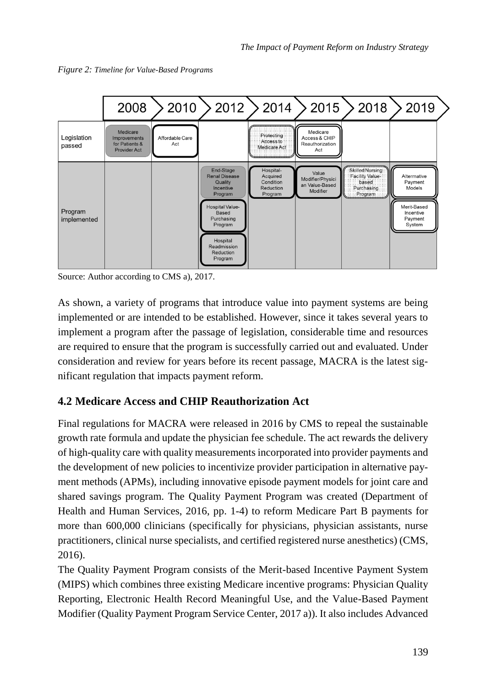



Source: Author according to CMS a), 2017.

As shown, a variety of programs that introduce value into payment systems are being implemented or are intended to be established. However, since it takes several years to implement a program after the passage of legislation, considerable time and resources are required to ensure that the program is successfully carried out and evaluated. Under consideration and review for years before its recent passage, MACRA is the latest significant regulation that impacts payment reform.

# <span id="page-4-0"></span>**4.2 Medicare Access and CHIP Reauthorization Act**

Final regulations for MACRA were released in 2016 by CMS to repeal the sustainable growth rate formula and update the physician fee schedule. The act rewards the delivery of high-quality care with quality measurements incorporated into provider payments and the development of new policies to incentivize provider participation in alternative payment methods (APMs), including innovative episode payment models for joint care and shared savings program. The Quality Payment Program was created (Department of Health and Human Services, 2016, pp. 1-4) to reform Medicare Part B payments for more than 600,000 clinicians (specifically for physicians, physician assistants, nurse practitioners, clinical nurse specialists, and certified registered nurse anesthetics) (CMS, 2016).

The Quality Payment Program consists of the Merit-based Incentive Payment System (MIPS) which combines three existing Medicare incentive programs: Physician Quality Reporting, Electronic Health Record Meaningful Use, and the Value-Based Payment Modifier (Quality Payment Program Service Center, 2017 a)). It also includes Advanced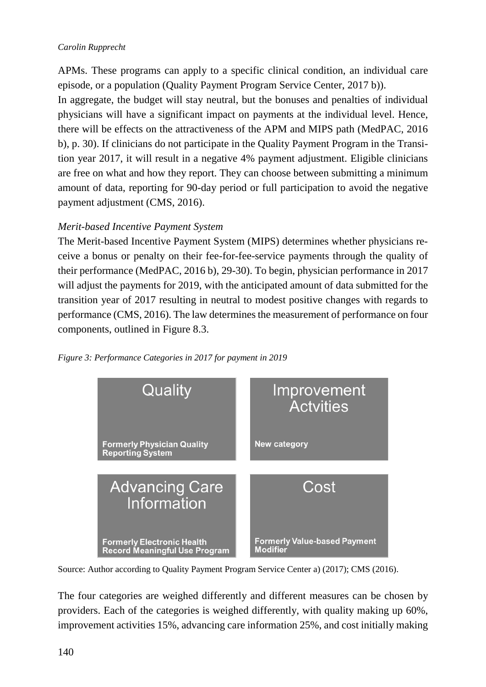### *Carolin Rupprecht*

APMs. These programs can apply to a specific clinical condition, an individual care episode, or a population (Quality Payment Program Service Center, 2017 b)). In aggregate, the budget will stay neutral, but the bonuses and penalties of individual physicians will have a significant impact on payments at the individual level. Hence, there will be effects on the attractiveness of the APM and MIPS path (MedPAC, 2016 b), p. 30). If clinicians do not participate in the Quality Payment Program in the Transition year 2017, it will result in a negative 4% payment adjustment. Eligible clinicians

are free on what and how they report. They can choose between submitting a minimum amount of data, reporting for 90-day period or full participation to avoid the negative payment adjustment (CMS, 2016).

### *Merit-based Incentive Payment System*

The Merit-based Incentive Payment System (MIPS) determines whether physicians receive a bonus or penalty on their fee-for-fee-service payments through the quality of their performance (MedPAC, 2016 b), 29-30). To begin, physician performance in 2017 will adjust the payments for 2019, with the anticipated amount of data submitted for the transition year of 2017 resulting in neutral to modest positive changes with regards to performance (CMS, 2016). The law determines the measurement of performance on four components, outlined in Figure 8.3.





Source: Author according to Quality Payment Program Service Center a) (2017); CMS (2016).

The four categories are weighed differently and different measures can be chosen by providers. Each of the categories is weighed differently, with quality making up 60%, improvement activities 15%, advancing care information 25%, and cost initially making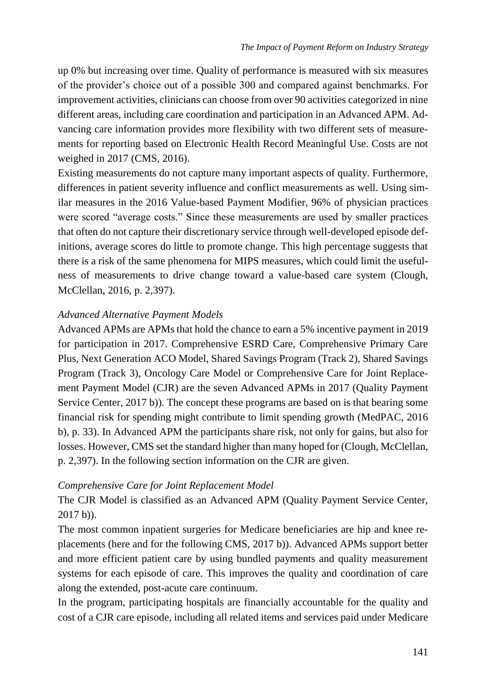up 0% but increasing over time. Quality of performance is measured with six measures of the provider's choice out of a possible 300 and compared against benchmarks. For improvement activities, clinicians can choose from over 90 activities categorized in nine different areas, including care coordination and participation in an Advanced APM. Advancing care information provides more flexibility with two different sets of measurements for reporting based on Electronic Health Record Meaningful Use. Costs are not weighed in 2017 (CMS, 2016).

Existing measurements do not capture many important aspects of quality. Furthermore, differences in patient severity influence and conflict measurements as well. Using similar measures in the 2016 Value-based Payment Modifier, 96% of physician practices were scored "average costs." Since these measurements are used by smaller practices that often do not capture their discretionary service through well-developed episode definitions, average scores do little to promote change. This high percentage suggests that there is a risk of the same phenomena for MIPS measures, which could limit the usefulness of measurements to drive change toward a value-based care system (Clough, McClellan, 2016, p. 2,397).

### *Advanced Alternative Payment Models*

Advanced APMs are APMs that hold the chance to earn a 5% incentive payment in 2019 for participation in 2017. Comprehensive ESRD Care, Comprehensive Primary Care Plus, Next Generation ACO Model, Shared Savings Program (Track 2), Shared Savings Program (Track 3), Oncology Care Model or Comprehensive Care for Joint Replacement Payment Model (CJR) are the seven Advanced APMs in 2017 (Quality Payment Service Center, 2017 b)). The concept these programs are based on is that bearing some financial risk for spending might contribute to limit spending growth (MedPAC, 2016 b), p. 33). In Advanced APM the participants share risk, not only for gains, but also for losses. However, CMS set the standard higher than many hoped for (Clough, McClellan, p. 2,397). In the following section information on the CJR are given.

### *Comprehensive Care for Joint Replacement Model*

The CJR Model is classified as an Advanced APM (Quality Payment Service Center, 2017 b)).

The most common inpatient surgeries for Medicare beneficiaries are hip and knee replacements (here and for the following CMS, 2017 b)). Advanced APMs support better and more efficient patient care by using bundled payments and quality measurement systems for each episode of care. This improves the quality and coordination of care along the extended, post-acute care continuum.

In the program, participating hospitals are financially accountable for the quality and cost of a CJR care episode, including all related items and services paid under Medicare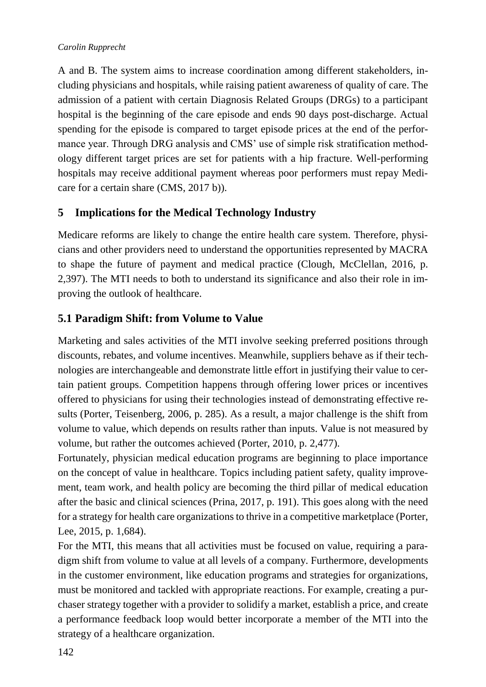#### *Carolin Rupprecht*

A and B. The system aims to increase coordination among different stakeholders, including physicians and hospitals, while raising patient awareness of quality of care. The admission of a patient with certain Diagnosis Related Groups (DRGs) to a participant hospital is the beginning of the care episode and ends 90 days post-discharge. Actual spending for the episode is compared to target episode prices at the end of the performance year. Through DRG analysis and CMS' use of simple risk stratification methodology different target prices are set for patients with a hip fracture. Well-performing hospitals may receive additional payment whereas poor performers must repay Medicare for a certain share (CMS, 2017 b)).

# <span id="page-7-0"></span>**5 Implications for the Medical Technology Industry**

Medicare reforms are likely to change the entire health care system. Therefore, physicians and other providers need to understand the opportunities represented by MACRA to shape the future of payment and medical practice (Clough, McClellan, 2016, p. 2,397). The MTI needs to both to understand its significance and also their role in improving the outlook of healthcare.

### <span id="page-7-1"></span>**5.1 Paradigm Shift: from Volume to Value**

Marketing and sales activities of the MTI involve seeking preferred positions through discounts, rebates, and volume incentives. Meanwhile, suppliers behave as if their technologies are interchangeable and demonstrate little effort in justifying their value to certain patient groups. Competition happens through offering lower prices or incentives offered to physicians for using their technologies instead of demonstrating effective results (Porter, Teisenberg, 2006, p. 285). As a result, a major challenge is the shift from volume to value, which depends on results rather than inputs. Value is not measured by volume, but rather the outcomes achieved (Porter, 2010, p. 2,477).

Fortunately, physician medical education programs are beginning to place importance on the concept of value in healthcare. Topics including patient safety, quality improvement, team work, and health policy are becoming the third pillar of medical education after the basic and clinical sciences (Prina, 2017, p. 191). This goes along with the need for a strategy for health care organizations to thrive in a competitive marketplace (Porter, Lee, 2015, p. 1,684).

For the MTI, this means that all activities must be focused on value, requiring a paradigm shift from volume to value at all levels of a company. Furthermore, developments in the customer environment, like education programs and strategies for organizations, must be monitored and tackled with appropriate reactions. For example, creating a purchaser strategy together with a provider to solidify a market, establish a price, and create a performance feedback loop would better incorporate a member of the MTI into the strategy of a healthcare organization.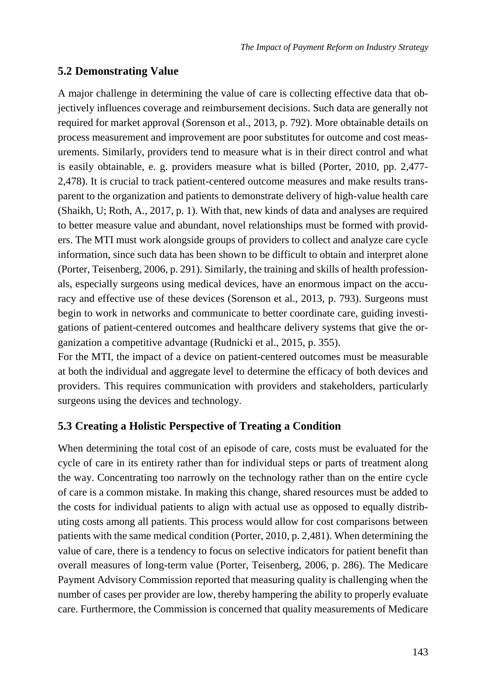### <span id="page-8-0"></span>**5.2 Demonstrating Value**

A major challenge in determining the value of care is collecting effective data that objectively influences coverage and reimbursement decisions. Such data are generally not required for market approval (Sorenson et al., 2013, p. 792). More obtainable details on process measurement and improvement are poor substitutes for outcome and cost measurements. Similarly, providers tend to measure what is in their direct control and what is easily obtainable, e. g. providers measure what is billed (Porter, 2010, pp. 2,477- 2,478). It is crucial to track patient-centered outcome measures and make results transparent to the organization and patients to demonstrate delivery of high-value health care (Shaikh, U; Roth, A., 2017, p. 1). With that, new kinds of data and analyses are required to better measure value and abundant, novel relationships must be formed with providers. The MTI must work alongside groups of providers to collect and analyze care cycle information, since such data has been shown to be difficult to obtain and interpret alone (Porter, Teisenberg, 2006, p. 291). Similarly, the training and skills of health professionals, especially surgeons using medical devices, have an enormous impact on the accuracy and effective use of these devices (Sorenson et al., 2013, p. 793). Surgeons must begin to work in networks and communicate to better coordinate care, guiding investigations of patient-centered outcomes and healthcare delivery systems that give the organization a competitive advantage (Rudnicki et al., 2015, p. 355).

For the MTI, the impact of a device on patient-centered outcomes must be measurable at both the individual and aggregate level to determine the efficacy of both devices and providers. This requires communication with providers and stakeholders, particularly surgeons using the devices and technology.

### <span id="page-8-1"></span>**5.3 Creating a Holistic Perspective of Treating a Condition**

When determining the total cost of an episode of care, costs must be evaluated for the cycle of care in its entirety rather than for individual steps or parts of treatment along the way. Concentrating too narrowly on the technology rather than on the entire cycle of care is a common mistake. In making this change, shared resources must be added to the costs for individual patients to align with actual use as opposed to equally distributing costs among all patients. This process would allow for cost comparisons between patients with the same medical condition (Porter, 2010, p. 2,481). When determining the value of care, there is a tendency to focus on selective indicators for patient benefit than overall measures of long-term value (Porter, Teisenberg, 2006, p. 286). The Medicare Payment Advisory Commission reported that measuring quality is challenging when the number of cases per provider are low, thereby hampering the ability to properly evaluate care. Furthermore, the Commission is concerned that quality measurements of Medicare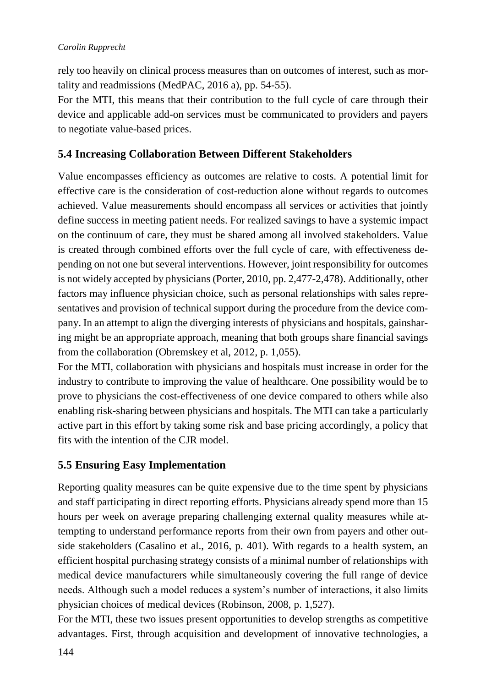rely too heavily on clinical process measures than on outcomes of interest, such as mortality and readmissions (MedPAC, 2016 a), pp. 54-55).

For the MTI, this means that their contribution to the full cycle of care through their device and applicable add-on services must be communicated to providers and payers to negotiate value-based prices.

# <span id="page-9-0"></span>**5.4 Increasing Collaboration Between Different Stakeholders**

Value encompasses efficiency as outcomes are relative to costs. A potential limit for effective care is the consideration of cost-reduction alone without regards to outcomes achieved. Value measurements should encompass all services or activities that jointly define success in meeting patient needs. For realized savings to have a systemic impact on the continuum of care, they must be shared among all involved stakeholders. Value is created through combined efforts over the full cycle of care, with effectiveness depending on not one but several interventions. However, joint responsibility for outcomes is not widely accepted by physicians (Porter, 2010, pp. 2,477-2,478). Additionally, other factors may influence physician choice, such as personal relationships with sales representatives and provision of technical support during the procedure from the device company. In an attempt to align the diverging interests of physicians and hospitals, gainsharing might be an appropriate approach, meaning that both groups share financial savings from the collaboration (Obremskey et al, 2012, p. 1,055).

For the MTI, collaboration with physicians and hospitals must increase in order for the industry to contribute to improving the value of healthcare. One possibility would be to prove to physicians the cost-effectiveness of one device compared to others while also enabling risk-sharing between physicians and hospitals. The MTI can take a particularly active part in this effort by taking some risk and base pricing accordingly, a policy that fits with the intention of the CJR model.

# <span id="page-9-1"></span>**5.5 Ensuring Easy Implementation**

Reporting quality measures can be quite expensive due to the time spent by physicians and staff participating in direct reporting efforts. Physicians already spend more than 15 hours per week on average preparing challenging external quality measures while attempting to understand performance reports from their own from payers and other outside stakeholders (Casalino et al., 2016, p. 401). With regards to a health system, an efficient hospital purchasing strategy consists of a minimal number of relationships with medical device manufacturers while simultaneously covering the full range of device needs. Although such a model reduces a system's number of interactions, it also limits physician choices of medical devices (Robinson, 2008, p. 1,527).

For the MTI, these two issues present opportunities to develop strengths as competitive advantages. First, through acquisition and development of innovative technologies, a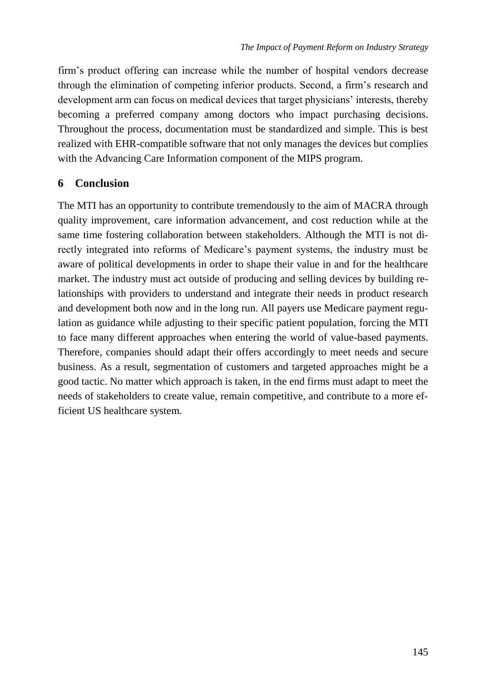firm's product offering can increase while the number of hospital vendors decrease through the elimination of competing inferior products. Second, a firm's research and development arm can focus on medical devices that target physicians' interests, thereby becoming a preferred company among doctors who impact purchasing decisions. Throughout the process, documentation must be standardized and simple. This is best realized with EHR-compatible software that not only manages the devices but complies with the Advancing Care Information component of the MIPS program.

### <span id="page-10-0"></span>**6 Conclusion**

The MTI has an opportunity to contribute tremendously to the aim of MACRA through quality improvement, care information advancement, and cost reduction while at the same time fostering collaboration between stakeholders. Although the MTI is not directly integrated into reforms of Medicare's payment systems, the industry must be aware of political developments in order to shape their value in and for the healthcare market. The industry must act outside of producing and selling devices by building relationships with providers to understand and integrate their needs in product research and development both now and in the long run. All payers use Medicare payment regulation as guidance while adjusting to their specific patient population, forcing the MTI to face many different approaches when entering the world of value-based payments. Therefore, companies should adapt their offers accordingly to meet needs and secure business. As a result, segmentation of customers and targeted approaches might be a good tactic. No matter which approach is taken, in the end firms must adapt to meet the needs of stakeholders to create value, remain competitive, and contribute to a more efficient US healthcare system.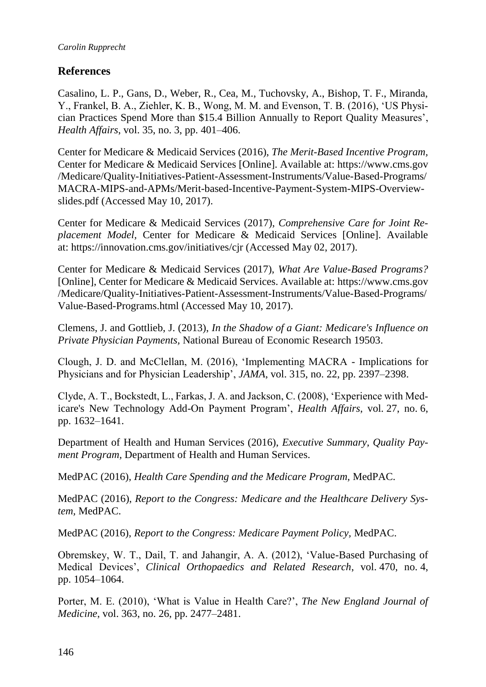### <span id="page-11-0"></span>**References**

Casalino, L. P., Gans, D., Weber, R., Cea, M., Tuchovsky, A., Bishop, T. F., Miranda, Y., Frankel, B. A., Ziehler, K. B., Wong, M. M. and Evenson, T. B. (2016), 'US Physician Practices Spend More than \$15.4 Billion Annually to Report Quality Measures', *Health Affairs*, vol. 35, no. 3, pp. 401–406.

Center for Medicare & Medicaid Services (2016), *The Merit-Based Incentive Program,*  Center for Medicare & Medicaid Services [Online]. Available at: https://www.cms.gov /Medicare/Quality-Initiatives-Patient-Assessment-Instruments/Value-Based-Programs/ MACRA-MIPS-and-APMs/Merit-based-Incentive-Payment-System-MIPS-Overviewslides.pdf (Accessed May 10, 2017).

Center for Medicare & Medicaid Services (2017), *Comprehensive Care for Joint Replacement Model,* Center for Medicare & Medicaid Services [Online]. Available at: https://innovation.cms.gov/initiatives/cjr (Accessed May 02, 2017).

Center for Medicare & Medicaid Services (2017), *What Are Value-Based Programs?* [Online], Center for Medicare & Medicaid Services. Available at: https://www.cms.gov /Medicare/Quality-Initiatives-Patient-Assessment-Instruments/Value-Based-Programs/ Value-Based-Programs.html (Accessed May 10, 2017).

Clemens, J. and Gottlieb, J. (2013), *In the Shadow of a Giant: Medicare's Influence on Private Physician Payments,* National Bureau of Economic Research 19503.

Clough, J. D. and McClellan, M. (2016), 'Implementing MACRA - Implications for Physicians and for Physician Leadership', *JAMA*, vol. 315, no. 22, pp. 2397–2398.

Clyde, A. T., Bockstedt, L., Farkas, J. A. and Jackson, C. (2008), 'Experience with Medicare's New Technology Add-On Payment Program', *Health Affairs*, vol. 27, no. 6, pp. 1632–1641.

Department of Health and Human Services (2016), *Executive Summary, Quality Payment Program,* Department of Health and Human Services.

MedPAC (2016), *Health Care Spending and the Medicare Program,* MedPAC.

MedPAC (2016), *Report to the Congress: Medicare and the Healthcare Delivery System,* MedPAC.

MedPAC (2016), *Report to the Congress: Medicare Payment Policy,* MedPAC.

Obremskey, W. T., Dail, T. and Jahangir, A. A. (2012), 'Value-Based Purchasing of Medical Devices', *Clinical Orthopaedics and Related Research*, vol. 470, no. 4, pp. 1054–1064.

Porter, M. E. (2010), 'What is Value in Health Care?', *The New England Journal of Medicine*, vol. 363, no. 26, pp. 2477–2481.